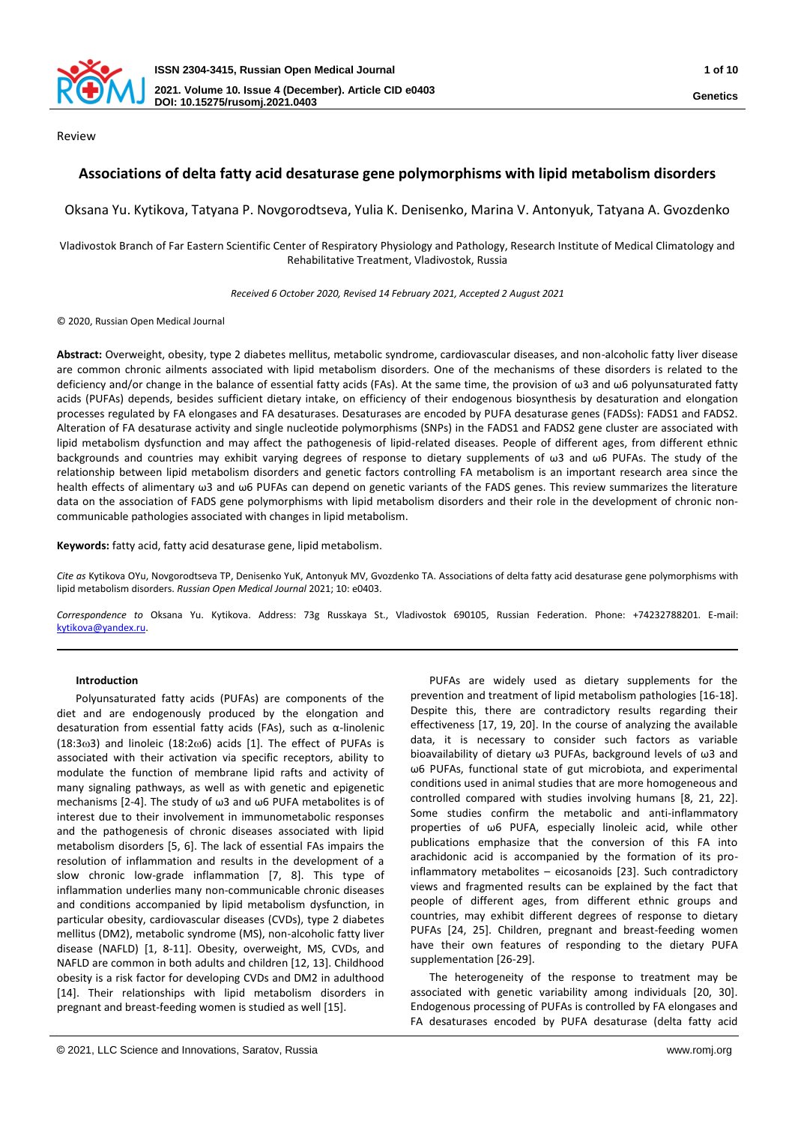

Review

# **Associations of delta fatty acid desaturase gene polymorphisms with lipid metabolism disorders**

Oksana Yu. Kytikova, Tatyana P. Novgorodtseva, Yulia K. Denisenko, Marina V. Antonyuk, Tatyana A. Gvozdenko

Vladivostok Branch of Far Eastern Scientific Center of Respiratory Physiology and Pathology, Research Institute of Medical Climatology and Rehabilitative Treatment, Vladivostok, Russia

*Received 6 October 2020, Revised 14 February 2021, Accepted 2 August 2021*

© 2020, Russian Open Medical Journal

**Abstract:** Overweight, obesity, type 2 diabetes mellitus, metabolic syndrome, cardiovascular diseases, and non-alcoholic fatty liver disease are common chronic ailments associated with lipid metabolism disorders. One of the mechanisms of these disorders is related to the deficiency and/or change in the balance of essential fatty acids (FAs). At the same time, the provision of ω3 and ω6 polyunsaturated fatty acids (PUFAs) depends, besides sufficient dietary intake, on efficiency of their endogenous biosynthesis by desaturation and elongation processes regulated by FA elongases and FA desaturases. Desaturases are encoded by PUFA desaturase genes (FADSs): FADS1 and FADS2. Alteration of FA desaturase activity and single nucleotide polymorphisms (SNPs) in the FADS1 and FADS2 gene cluster are associated with lipid metabolism dysfunction and may affect the pathogenesis of lipid-related diseases. People of different ages, from different ethnic backgrounds and countries may exhibit varying degrees of response to dietary supplements of ω3 and ω6 PUFAs. The study of the relationship between lipid metabolism disorders and genetic factors controlling FA metabolism is an important research area since the health effects of alimentary ω3 and ω6 PUFAs can depend on genetic variants of the FADS genes. This review summarizes the literature data on the association of FADS gene polymorphisms with lipid metabolism disorders and their role in the development of chronic noncommunicable pathologies associated with changes in lipid metabolism.

**Keywords:** fatty acid, fatty acid desaturase gene, lipid metabolism.

*Cite as* Kytikova OYu, Novgorodtseva TP, Denisenko YuK, Antonyuk MV, Gvozdenko TA. Associations of delta fatty acid desaturase gene polymorphisms with lipid metabolism disorders. *Russian Open Medical Journal* 2021; 10: e0403.

*Correspondence to* Oksana Yu. Kytikova. Address: 73g Russkaya St., Vladivostok 690105, Russian Federation. Phone: +74232788201. E-mail: [kytikova@yandex.ru.](mailto:kytikova@yandex.ru)

#### **Introduction**

Polyunsaturated fatty acids (PUFAs) are components of the diet and are endogenously produced by the elongation and desaturation from essential fatty acids (FAs), such as α-linolenic  $(18:3\omega3)$  and linoleic  $(18:2\omega6)$  acids [1]. The effect of PUFAs is associated with their activation via specific receptors, ability to modulate the function of membrane lipid rafts and activity of many signaling pathways, as well as with genetic and epigenetic mechanisms [2-4]. The study of ω3 and ω6 PUFA metabolites is of interest due to their involvement in immunometabolic responses and the pathogenesis of chronic diseases associated with lipid metabolism disorders [5, 6]. The lack of essential FAs impairs the resolution of inflammation and results in the development of a slow chronic low-grade inflammation [7, 8]. This type of inflammation underlies many non-communicable chronic diseases and conditions accompanied by lipid metabolism dysfunction, in particular obesity, cardiovascular diseases (CVDs), type 2 diabetes mellitus (DM2), metabolic syndrome (MS), non-alcoholic fatty liver disease (NAFLD) [1, 8-11]. Obesity, overweight, MS, CVDs, and NAFLD are common in both adults and children [12, 13]. Childhood obesity is a risk factor for developing CVDs and DM2 in adulthood [14]. Their relationships with lipid metabolism disorders in pregnant and breast-feeding women is studied as well [15].

PUFAs are widely used as dietary supplements for the prevention and treatment of lipid metabolism pathologies [16-18]. Despite this, there are contradictory results regarding their effectiveness [17, 19, 20]. In the course of analyzing the available data, it is necessary to consider such factors as variable bioavailability of dietary ω3 PUFAs, background levels of ω3 and ω6 PUFAs, functional state of gut microbiota, and experimental conditions used in animal studies that are more homogeneous and controlled compared with studies involving humans [8, 21, 22]. Some studies confirm the metabolic and anti-inflammatory properties of ω6 PUFA, especially linoleic acid, while other publications emphasize that the conversion of this FA into arachidonic acid is accompanied by the formation of its proinflammatory metabolites – eicosanoids [23]. Such contradictory views and fragmented results can be explained by the fact that people of different ages, from different ethnic groups and countries, may exhibit different degrees of response to dietary PUFAs [24, 25]. Children, pregnant and breast-feeding women have their own features of responding to the dietary PUFA supplementation [26-29].

The heterogeneity of the response to treatment may be associated with genetic variability among individuals [20, 30]. Endogenous processing of PUFAs is controlled by FA elongases and FA desaturases encoded by PUFA desaturase (delta fatty acid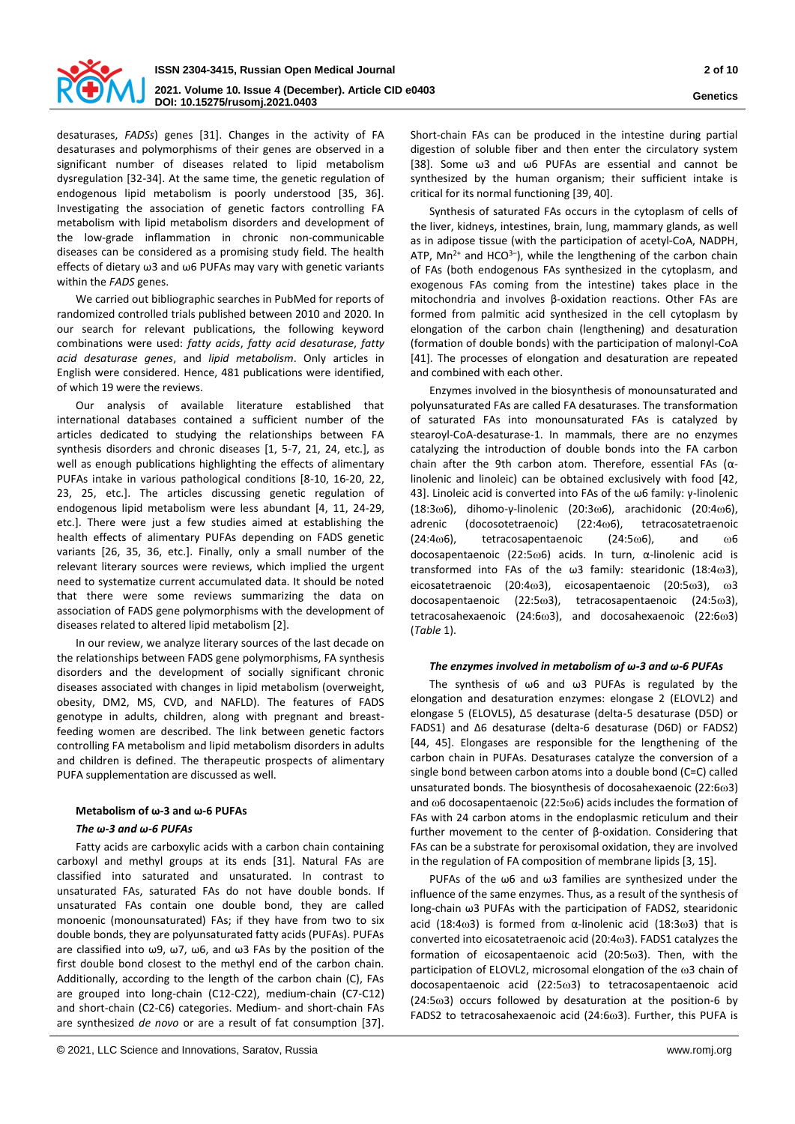

desaturases, *FADSs*) genes [31]. Changes in the activity of FA desaturases and polymorphisms of their genes are observed in a significant number of diseases related to lipid metabolism dysregulation [32-34]. At the same time, the genetic regulation of endogenous lipid metabolism is poorly understood [35, 36]. Investigating the association of genetic factors controlling FA metabolism with lipid metabolism disorders and development of the low-grade inflammation in chronic non-communicable diseases can be considered as a promising study field. The health effects of dietary ω3 and ω6 PUFAs may vary with genetic variants within the *FADS* genes.

We carried out bibliographic searches in PubMed for reports of randomized controlled trials published between 2010 and 2020. In our search for relevant publications, the following keyword combinations were used: *fatty acids*, *fatty acid desaturase*, *fatty acid desaturase genes*, and *lipid metabolism*. Only articles in English were considered. Hence, 481 publications were identified, of which 19 were the reviews.

Our analysis of available literature established that international databases contained a sufficient number of the articles dedicated to studying the relationships between FA synthesis disorders and chronic diseases [1, 5-7, 21, 24, etc.], as well as enough publications highlighting the effects of alimentary PUFAs intake in various pathological conditions [8-10, 16-20, 22, 23, 25, etc.]. The articles discussing genetic regulation of endogenous lipid metabolism were less abundant [4, 11, 24-29, etc.]. There were just a few studies aimed at establishing the health effects of alimentary PUFAs depending on FADS genetic variants [26, 35, 36, etc.]. Finally, only a small number of the relevant literary sources were reviews, which implied the urgent need to systematize current accumulated data. It should be noted that there were some reviews summarizing the data on association of FADS gene polymorphisms with the development of diseases related to altered lipid metabolism [2].

In our review, we analyze literary sources of the last decade on the relationships between FADS gene polymorphisms, FA synthesis disorders and the development of socially significant chronic diseases associated with changes in lipid metabolism (overweight, obesity, DM2, MS, CVD, and NAFLD). The features of FADS genotype in adults, children, along with pregnant and breastfeeding women are described. The link between genetic factors controlling FA metabolism and lipid metabolism disorders in adults and children is defined. The therapeutic prospects of alimentary PUFA supplementation are discussed as well.

#### **Metabolism of ω-3 and ω-6 PUFAs**

## *The ω-3 and ω-6 PUFAs*

Fatty acids are carboxylic acids with a carbon chain containing carboxyl and methyl groups at its ends [31]. Natural FAs are classified into saturated and unsaturated. In contrast to unsaturated FAs, saturated FAs do not have double bonds. If unsaturated FAs contain one double bond, they are called monoenic (monounsaturated) FAs; if they have from two to six double bonds, they are polyunsaturated fatty acids (PUFAs). PUFAs are classified into ω9, ω7, ω6, and ω3 FAs by the position of the first double bond closest to the methyl end of the carbon chain. Additionally, according to the length of the carbon chain (C), FAs are grouped into long-chain (C12-C22), medium-chain (C7-C12) and short-chain (C2-C6) categories. Medium- and short-chain FAs are synthesized *de novo* or are a result of fat consumption [37].

Short-chain FAs can be produced in the intestine during partial digestion of soluble fiber and then enter the circulatory system [38]. Some ω3 and ω6 PUFAs are essential and cannot be synthesized by the human organism; their sufficient intake is critical for its normal functioning [39, 40].

Synthesis of saturated FAs occurs in the cytoplasm of cells of the liver, kidneys, intestines, brain, lung, mammary glands, as well as in adipose tissue (with the participation of acetyl-CoA, NADPH, ATP,  $Mn^{2+}$  and HCO<sup>3-</sup>), while the lengthening of the carbon chain of FAs (both endogenous FAs synthesized in the cytoplasm, and exogenous FAs coming from the intestine) takes place in the mitochondria and involves β-oxidation reactions. Other FAs are formed from palmitic acid synthesized in the cell cytoplasm by elongation of the carbon chain (lengthening) and desaturation (formation of double bonds) with the participation of malonyl-CoA [41]. The processes of elongation and desaturation are repeated and combined with each other.

Enzymes involved in the biosynthesis of monounsaturated and polyunsaturated FAs are called FA desaturases. The transformation of saturated FAs into monounsaturated FAs is catalyzed by stearoyl-CoA-desaturase-1. In mammals, there are no enzymes catalyzing the introduction of double bonds into the FA carbon chain after the 9th carbon atom. Therefore, essential FAs (αlinolenic and linoleic) can be obtained exclusively with food [42, 43]. Linoleic acid is converted into FAs of the ω6 family: γ-linolenic (18:3ω6), dihomo-γ-linolenic (20:3ω6), arachidonic (20:4ω6), adrenic (docosotetraenoic)  $(22:4\omega)6$ , tetracosatetraenoic  $(24:4\omega)$ , tetracosapentaenoic  $(24:5\omega)$ , and  $\omega$ 6 docosapentaenoic (22:56) acids. In turn, α-linolenic acid is transformed into FAs of the  $\omega$ 3 family: stearidonic (18:4 $\omega$ 3), eicosatetraenoic (20:4 $\omega$ 3), eicosapentaenoic (20:5 $\omega$ 3),  $\omega$ 3 docosapentaenoic (22:5ω3), tetracosapentaenoic (24:5ω3), tetracosahexaenoic (24:6 $\omega$ 3), and docosahexaenoic (22:6 $\omega$ 3) (*Table* 1).

#### *The enzymes involved in metabolism of ω-3 and ω-6 PUFAs*

The synthesis of ω6 and ω3 PUFAs is regulated by the elongation and desaturation enzymes: elongase 2 (ELOVL2) and elongase 5 (ELOVL5), Δ5 desaturase (delta-5 desaturase (D5D) or FADS1) and Δ6 desaturase (delta-6 desaturase (D6D) or FADS2) [44, 45]. Elongases are responsible for the lengthening of the carbon chain in PUFAs. Desaturases catalyze the conversion of a single bond between carbon atoms into a double bond (C=C) called unsaturated bonds. The biosynthesis of docosahexaenoic  $(22:6\omega3)$ and  $\omega$ 6 docosapentaenoic (22:5 $\omega$ 6) acids includes the formation of FAs with 24 carbon atoms in the endoplasmic reticulum and their further movement to the center of β-oxidation. Considering that FAs can be a substrate for peroxisomal oxidation, they are involved in the regulation of FA composition of membrane lipids [3, 15].

PUFAs of the ω6 and ω3 families are synthesized under the influence of the same enzymes. Thus, as a result of the synthesis of long-chain ω3 PUFAs with the participation of FADS2, stearidonic acid (18:4 $\omega$ 3) is formed from  $\alpha$ -linolenic acid (18:3 $\omega$ 3) that is converted into eicosatetraenoic acid (20:4 $\omega$ 3). FADS1 catalyzes the formation of eicosapentaenoic acid (20:5 $\omega$ 3). Then, with the participation of ELOVL2, microsomal elongation of the  $\omega$ 3 chain of docosapentaenoic acid (22:5 $\omega$ 3) to tetracosapentaenoic acid  $(24:5\omega3)$  occurs followed by desaturation at the position-6 by FADS2 to tetracosahexaenoic acid (24:6 $\omega$ 3). Further, this PUFA is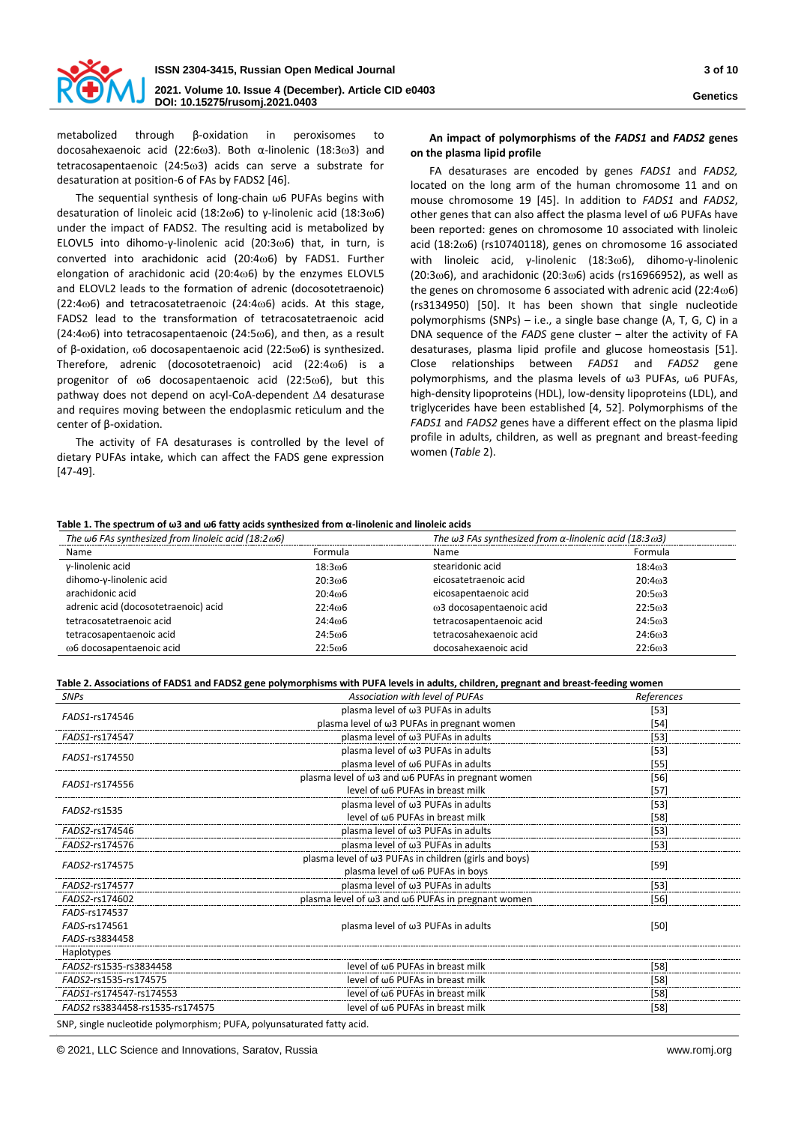

metabolized through β-oxidation in peroxisomes to docosahexaenoic acid (22:6ω3). Both α-linolenic (18:3ω3) and tetracosapentaenoic (24:5 $\omega$ 3) acids can serve a substrate for desaturation at position-6 of FAs by FADS2 [46].

The sequential synthesis of long-chain ω6 PUFAs begins with desaturation of linoleic acid (18:2ω6) to γ-linolenic acid (18:3ω6) under the impact of FADS2. The resulting acid is metabolized by ELOVL5 into dihomo-γ-linolenic acid (20:3ω6) that, in turn, is converted into arachidonic acid (20:4 $\omega$ 6) by FADS1. Further elongation of arachidonic acid  $(20:4\omega)6$  by the enzymes ELOVL5 and ELOVL2 leads to the formation of adrenic (docosotetraenoic)  $(22:4\omega)$  and tetracosatetraenoic  $(24:4\omega)$  acids. At this stage, FADS2 lead to the transformation of tetracosatetraenoic acid (24:4 $\omega$ 6) into tetracosapentaenoic (24:5 $\omega$ 6), and then, as a result of β-oxidation, ω6 docosapentaenoic acid (22:5ω6) is synthesized. Therefore, adrenic (docosotetraenoic) acid  $(22:4\omega)6$  is a progenitor of  $\omega$ 6 docosapentaenoic acid (22:5 $\omega$ 6), but this pathway does not depend on acyl-CoA-dependent  $\Delta 4$  desaturase and requires moving between the endoplasmic reticulum and the center of β-oxidation.

The activity of FA desaturases is controlled by the level of dietary PUFAs intake, which can affect the FADS gene expression [47-49].

# **An impact of polymorphisms of the** *FADS1* **and** *FADS2* **genes on the plasma lipid profile**

FA desaturases are encoded by genes *FADS1* and *FADS2,* located on the long arm of the human chromosome 11 and on mouse chromosome 19 [45]. In addition to *FADS1* and *FADS2*, other genes that can also affect the plasma level of ω6 PUFAs have been reported: genes on chromosome 10 associated with linoleic acid (18:26) (rs10740118), genes on chromosome 16 associated with linoleic acid, γ-linolenic (18:3ω6), dihomo-γ-linolenic  $(20:3\omega6)$ , and arachidonic  $(20:3\omega6)$  acids (rs16966952), as well as the genes on chromosome 6 associated with adrenic acid  $(22:4\omega 6)$ (rs3134950) [50]. It has been shown that single nucleotide polymorphisms (SNPs) – i.e., a single base change (A, T, G, C) in a DNA sequence of the *FADS* gene cluster – alter the activity of FA desaturases, plasma lipid profile and glucose homeostasis [51]. Close relationships between *FADS1* and *FADS2* gene polymorphisms, and the plasma levels of ω3 PUFAs, ω6 PUFAs, high-density lipoproteins (HDL), low-density lipoproteins (LDL), and triglycerides have been established [4, 52]. Polymorphisms of the *FADS1* and *FADS2* genes have a different effect on the plasma lipid profile in adults, children, as well as pregnant and breast-feeding women (*Table* 2).

#### **Table 1. The spectrum of ω3 and ω6 fatty acids synthesized from α-linolenic and linoleic acids**

| The $\omega$ 6 FAs synthesized from linoleic acid (18:2 $\omega$ 6) |         | The $\omega$ 3 FAs synthesized from $\alpha$ -linolenic acid (18:3 $\omega$ 3) |                     |
|---------------------------------------------------------------------|---------|--------------------------------------------------------------------------------|---------------------|
| Name                                                                | Formula | Name                                                                           | Formula             |
| y-linolenic acid                                                    | 18:306  | stearidonic acid                                                               | 18:403              |
| dihomo-y-linolenic acid                                             | 20:306  | eicosatetraenoic acid                                                          | 20:4 <sub>0</sub> 3 |
| arachidonic acid                                                    | 20:406  | eicosapentaenoic acid                                                          | 20:5 <sub>ω</sub> 3 |
| adrenic acid (docosotetraenoic) acid                                | 22:406  | ω3 docosapentaenoic acid                                                       | 22:5 <sub>0</sub> 3 |
| tetracosatetraenoic acid                                            | 24:406  | tetracosapentaenoic acid                                                       | 24:5 <sub>ω</sub> 3 |
| tetracosapentaenoic acid                                            | 24:506  | tetracosahexaenoic acid                                                        | 24:603              |
| ω6 docosapentaenoic acid                                            | 22:506  | docosahexaenoic acid                                                           | 22:603              |

**Table 2. Associations of FADS1 and FADS2 gene polymorphisms with PUFA levels in adults, children, pregnant and breast-feeding women**

| <b>SNPs</b>                     | Association with level of PUFAs                                   | References |  |
|---------------------------------|-------------------------------------------------------------------|------------|--|
| FADS1-rs174546                  | plasma level of $\omega$ 3 PUFAs in adults                        | $[53]$     |  |
|                                 | plasma level of ω3 PUFAs in pregnant women                        | $[54]$     |  |
| FADS1-rs174547                  | plasma level of $\omega$ 3 PUFAs in adults                        | $[53]$     |  |
| FADS1-rs174550                  | plasma level of $\omega$ 3 PUFAs in adults                        | $[53]$     |  |
|                                 | plasma level of $\omega$ 6 PUFAs in adults                        | $[55]$     |  |
| FADS1-rs174556                  | plasma level of ω3 and ω6 PUFAs in pregnant women                 | $[56]$     |  |
|                                 | level of $\omega$ 6 PUFAs in breast milk                          | $[57]$     |  |
| FADS2-rs1535                    | plasma level of $\omega$ 3 PUFAs in adults                        | $[53]$     |  |
|                                 | level of $\omega$ 6 PUFAs in breast milk                          | $[58]$     |  |
| FADS2-rs174546                  | plasma level of ω3 PUFAs in adults                                | $[53]$     |  |
| FADS2-rs174576                  | plasma level of $\omega$ 3 PUFAs in adults                        | $[53]$     |  |
| FADS2-rs174575                  | plasma level of ω3 PUFAs in children (girls and boys)             | $[59]$     |  |
|                                 | plasma level of $\omega$ 6 PUFAs in boys                          |            |  |
| FADS2-rs174577                  | plasma level of ω3 PUFAs in adults                                | $[53]$     |  |
| FADS2-rs174602                  | plasma level of $\omega$ 3 and $\omega$ 6 PUFAs in pregnant women | [56]       |  |
| FADS-rs174537                   |                                                                   |            |  |
| FADS-rs174561                   | plasma level of $\omega$ 3 PUFAs in adults                        | $[50]$     |  |
| FADS-rs3834458                  |                                                                   |            |  |
| Haplotypes                      |                                                                   |            |  |
| FADS2-rs1535-rs3834458          | level of $\omega$ 6 PUFAs in breast milk                          | [58]       |  |
| FADS2-rs1535-rs174575           | level of ω6 PUFAs in breast milk                                  | [58]       |  |
| FADS1-rs174547-rs174553         | level of $\omega$ 6 PUFAs in breast milk                          | [58]       |  |
| FADS2 rs3834458-rs1535-rs174575 | level of $\omega$ 6 PUFAs in breast milk                          | $[58]$     |  |

SNP, single nucleotide polymorphism; PUFA, polyunsaturated fatty acid.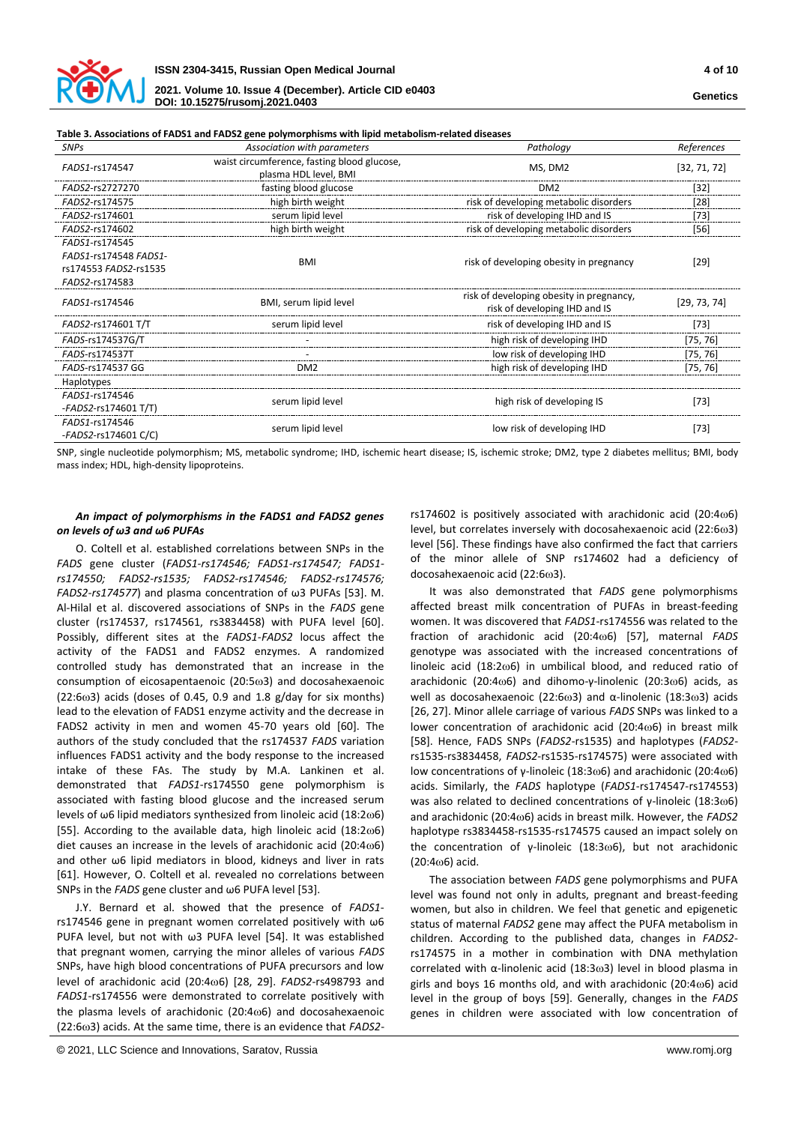

#### **Table 3. Associations of FADS1 and FADS2 gene polymorphisms with lipid metabolism-related diseases**

**DOI: 10.15275/rusomj.2021.0403**

| <b>SNPs</b>                            | Association with parameters                                          | Pathology                                                                 | References   |
|----------------------------------------|----------------------------------------------------------------------|---------------------------------------------------------------------------|--------------|
| FADS1-rs174547                         | waist circumference, fasting blood glucose,<br>plasma HDL level, BMI | MS, DM2                                                                   | [32, 71, 72] |
| FADS2-rs2727270                        | fasting blood glucose                                                | DM <sub>2</sub>                                                           | $[32]$       |
| FADS2-rs174575                         | high birth weight                                                    | risk of developing metabolic disorders                                    | [28]         |
| FADS2-rs174601                         | serum lipid level                                                    | risk of developing IHD and IS                                             | $[73]$       |
| FADS2-rs174602                         | high birth weight                                                    | risk of developing metabolic disorders                                    | [56]         |
| FADS1-rs174545                         |                                                                      |                                                                           |              |
| FADS1-rs174548 FADS1-                  | <b>BMI</b>                                                           | risk of developing obesity in pregnancy                                   | $[29]$       |
| rs174553 FADS2-rs1535                  |                                                                      |                                                                           |              |
| FADS2-rs174583                         |                                                                      |                                                                           |              |
| FADS1-rs174546                         | BMI, serum lipid level                                               | risk of developing obesity in pregnancy,<br>risk of developing IHD and IS | [29, 73, 74] |
| FADS2-rs174601 T/T                     | serum lipid level                                                    | risk of developing IHD and IS                                             | [73]         |
| FADS-rs174537G/T                       |                                                                      | high risk of developing IHD                                               | [75, 76]     |
| FADS-rs174537T                         |                                                                      | low risk of developing IHD                                                | [75, 76]     |
| FADS-rs174537 GG                       | DM <sub>2</sub>                                                      | high risk of developing IHD                                               | [75, 76]     |
| <b>Haplotypes</b>                      |                                                                      |                                                                           |              |
| FADS1-rs174546                         |                                                                      |                                                                           | $[73]$       |
| -FADS2-rs174601 T/T)                   | serum lipid level                                                    | high risk of developing IS                                                |              |
| FADS1-rs174546<br>-FADS2-rs174601 C/C) | serum lipid level                                                    | low risk of developing IHD                                                | $[73]$       |

SNP, single nucleotide polymorphism; MS, metabolic syndrome; IHD, ischemic heart disease; IS, ischemic stroke; DM2, type 2 diabetes mellitus; BMI, body mass index; HDL, high-density lipoproteins.

# *An impact of polymorphisms in the FADS1 and FADS2 genes on levels of ω3 and ω6 PUFAs*

O. Coltell et al. established correlations between SNPs in the *FADS* gene cluster (*FADS1-rs174546; FADS1-rs174547; FADS1 rs174550; FADS2-rs1535; FADS2-rs174546; FADS2-rs174576; FADS2-rs174577*) and plasma concentration of ω3 PUFAs [53]. M. Al-Hilal et al. discovered associations of SNPs in the *FADS* gene cluster (rs174537, rs174561, rs3834458) with PUFA level [60]. Possibly, different sites at the *FADS1-FADS2* locus affect the activity of the FADS1 and FADS2 enzymes. A randomized controlled study has demonstrated that an increase in the consumption of eicosapentaenoic  $(20:5\omega3)$  and docosahexaenoic  $(22:6\omega$ 3) acids (doses of 0.45, 0.9 and 1.8 g/day for six months) lead to the elevation of FADS1 enzyme activity and the decrease in FADS2 activity in men and women 45-70 years old [60]. The authors of the study concluded that the rs174537 *FADS* variation influences FADS1 activity and the body response to the increased intake of these FAs. The study by M.A. Lankinen et al. demonstrated that *FADS1*-rs174550 gene polymorphism is associated with fasting blood glucose and the increased serum levels of  $\omega$ 6 lipid mediators synthesized from linoleic acid (18:2 $\omega$ 6) [55]. According to the available data, high linoleic acid  $(18:2\omega6)$ diet causes an increase in the levels of arachidonic acid (20:4 $\omega$ 6) and other ω6 lipid mediators in blood, kidneys and liver in rats [61]. However, O. Coltell et al. revealed no correlations between SNPs in the *FADS* gene cluster and ω6 PUFA level [53].

J.Y. Bernard et al. showed that the presence of *FADS1* rs174546 gene in pregnant women correlated positively with ω6 PUFA level, but not with ω3 PUFA level [54]. It was established that pregnant women, carrying the minor alleles of various *FADS* SNPs, have high blood concentrations of PUFA precursors and low level of arachidonic acid (20:4 $\omega$ 6) [28, 29]. *FADS2-rs498793* and *FADS1*-rs174556 were demonstrated to correlate positively with the plasma levels of arachidonic  $(20:4\omega)$  and docosahexaenoic (22:63) acids. At the same time, there is an evidence that *FADS2*- rs174602 is positively associated with arachidonic acid (20:4 $\omega$ 6) level, but correlates inversely with docosahexaenoic acid (22:6 $\omega$ 3) level [56]. These findings have also confirmed the fact that carriers of the minor allele of SNP rs174602 had a deficiency of docosahexaenoic acid (22:6 $\omega$ 3).

It was also demonstrated that *FADS* gene polymorphisms affected breast milk concentration of PUFAs in breast-feeding women. It was discovered that *FADS1*-rs174556 was related to the fraction of arachidonic acid (20:4<sub>006</sub>) [57], maternal *FADS* genotype was associated with the increased concentrations of linoleic acid (18:2 $\omega$ 6) in umbilical blood, and reduced ratio of arachidonic (20:4 $\omega$ 6) and dihomo-y-linolenic (20:3 $\omega$ 6) acids, as well as docosahexaenoic (22:6ω3) and α-linolenic (18:3ω3) acids [26, 27]. Minor allele carriage of various *FADS* SNPs was linked to a lower concentration of arachidonic acid (20:4 $\omega$ 6) in breast milk [58]. Hence, FADS SNPs (*FADS2*-rs1535) and haplotypes (*FADS2* rs1535-rs3834458, *FADS2*-rs1535-rs174575) were associated with low concentrations of γ-linoleic (18:3ω6) and arachidonic (20:4ω6) acids. Similarly, the *FADS* haplotype (*FADS1*-rs174547-rs174553) was also related to declined concentrations of γ-linoleic (18:3ω6) and arachidonic (20:46) acids in breast milk. However, the *FADS2* haplotype rs3834458-rs1535-rs174575 caused an impact solely on the concentration of γ-linoleic (18:3 $ω$ 6), but not arachidonic  $(20:406)$  acid.

The association between *FADS* gene polymorphisms and PUFA level was found not only in adults, pregnant and breast-feeding women, but also in children. We feel that genetic and epigenetic status of maternal *FADS2* gene may affect the PUFA metabolism in children. According to the published data, changes in *FADS2* rs174575 in a mother in combination with DNA methylation correlated with  $\alpha$ -linolenic acid (18:3 $\omega$ 3) level in blood plasma in girls and boys 16 months old, and with arachidonic (20:4 $\omega$ 6) acid level in the group of boys [59]. Generally, changes in the *FADS* genes in children were associated with low concentration of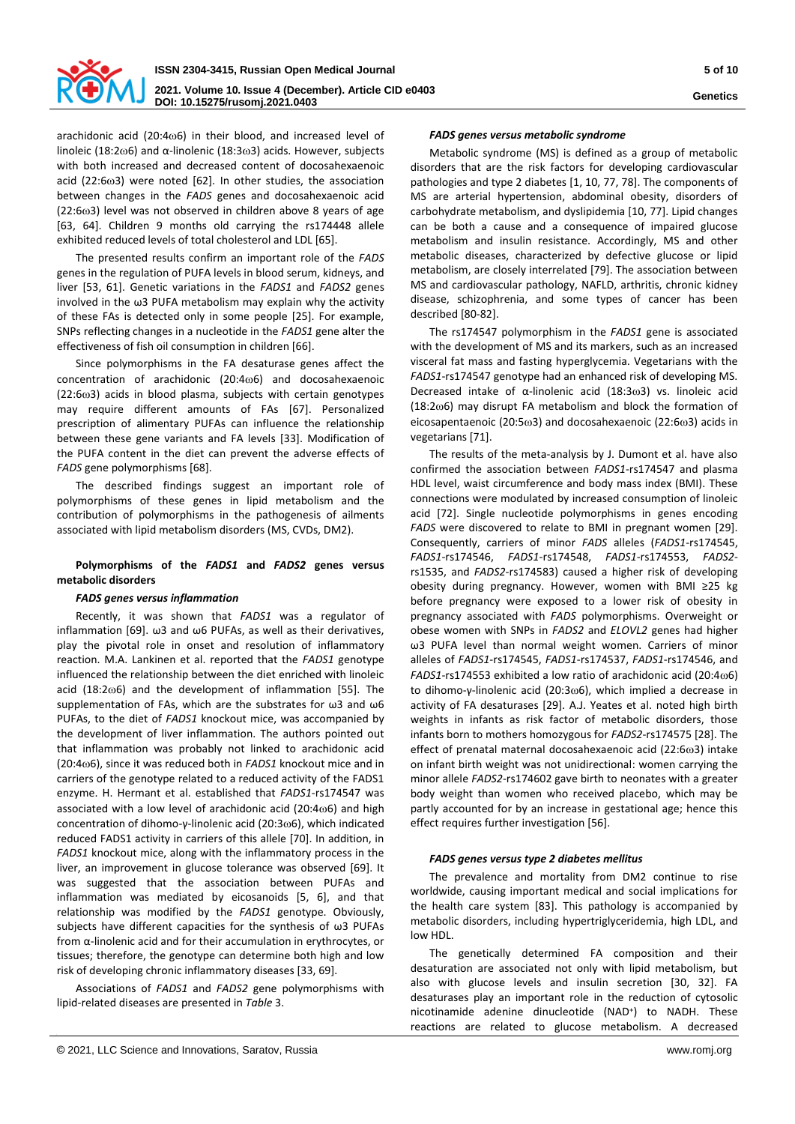

arachidonic acid (20:4 $\omega$ 6) in their blood, and increased level of linoleic (18:2 $\omega$ 6) and  $\alpha$ -linolenic (18:3 $\omega$ 3) acids. However, subjects with both increased and decreased content of docosahexaenoic acid (22:6 $\omega$ 3) were noted [62]. In other studies, the association between changes in the *FADS* genes and docosahexaenoic acid  $(22:6\omega3)$  level was not observed in children above 8 years of age [63, 64]. Children 9 months old carrying the rs174448 allele exhibited reduced levels of total cholesterol and LDL [65].

The presented results confirm an important role of the *FADS* genes in the regulation of PUFA levels in blood serum, kidneys, and liver [53, 61]. Genetic variations in the *FADS1* and *FADS2* genes involved in the ω3 PUFA metabolism may explain why the activity of these FAs is detected only in some people [25]. For example, SNPs reflecting changes in a nucleotide in the *FADS1* gene alter the effectiveness of fish oil consumption in children [66].

Since polymorphisms in the FA desaturase genes affect the concentration of arachidonic  $(20:4\omega6)$  and docosahexaenoic  $(22:6\omega3)$  acids in blood plasma, subjects with certain genotypes may require different amounts of FAs [67]. Personalized prescription of alimentary PUFAs can influence the relationship between these gene variants and FA levels [33]. Modification of the PUFA content in the diet can prevent the adverse effects of *FADS* gene polymorphisms [68].

The described findings suggest an important role of polymorphisms of these genes in lipid metabolism and the contribution of polymorphisms in the pathogenesis of ailments associated with lipid metabolism disorders (MS, CVDs, DM2).

# **Polymorphisms of the** *FADS1* **and** *FADS2* **genes versus metabolic disorders**

#### *FADS genes versus inflammation*

Recently, it was shown that *FADS1* was a regulator of inflammation [69]. ω3 and ω6 PUFAs, as well as their derivatives, play the pivotal role in onset and resolution of inflammatory reaction. M.A. Lankinen et al. reported that the *FADS1* genotype influenced the relationship between the diet enriched with linoleic acid  $(18:2\omega)$  and the development of inflammation [55]. The supplementation of FAs, which are the substrates for ω3 and ω6 PUFAs, to the diet of *FADS1* knockout mice, was accompanied by the development of liver inflammation. The authors pointed out that inflammation was probably not linked to arachidonic acid (20:46), since it was reduced both in *FADS1* knockout mice and in carriers of the genotype related to a reduced activity of the FADS1 enzyme. H. Hermant et al. established that *FADS1*-rs174547 was associated with a low level of arachidonic acid (20:4 $\omega$ 6) and high concentration of dihomo-γ-linolenic acid (20:36), which indicated reduced FADS1 activity in carriers of this allele [70]. In addition, in *FADS1* knockout mice, along with the inflammatory process in the liver, an improvement in glucose tolerance was observed [69]. It was suggested that the association between PUFAs and inflammation was mediated by eicosanoids [5, 6], and that relationship was modified by the *FADS1* genotype. Obviously, subjects have different capacities for the synthesis of ω3 PUFAs from α-linolenic acid and for their accumulation in erythrocytes, or tissues; therefore, the genotype can determine both high and low risk of developing chronic inflammatory diseases [33, 69].

Associations of *FADS1* and *FADS2* gene polymorphisms with lipid-related diseases are presented in *Table* 3.

#### *FADS genes versus metabolic syndrome*

Metabolic syndrome (MS) is defined as a group of metabolic disorders that are the risk factors for developing cardiovascular pathologies and type 2 diabetes [1, 10, 77, 78]. The components of MS are arterial hypertension, abdominal obesity, disorders of carbohydrate metabolism, and dyslipidemia [10, 77]. Lipid changes can be both a cause and a consequence of impaired glucose metabolism and insulin resistance. Accordingly, MS and other metabolic diseases, characterized by defective glucose or lipid metabolism, are closely interrelated [79]. The association between MS and cardiovascular pathology, NAFLD, arthritis, chronic kidney disease, schizophrenia, and some types of cancer has been described [80-82].

The rs174547 polymorphism in the *FADS1* gene is associated with the development of MS and its markers, such as an increased visceral fat mass and fasting hyperglycemia. Vegetarians with the *FADS1*-rs174547 genotype had an enhanced risk of developing MS. Decreased intake of  $\alpha$ -linolenic acid (18:3 $\omega$ 3) vs. linoleic acid (18:26) may disrupt FA metabolism and block the formation of eicosapentaenoic (20:5 $\omega$ 3) and docosahexaenoic (22:6 $\omega$ 3) acids in vegetarians [71].

The results of the meta-analysis by J. Dumont et al. have also confirmed the association between *FADS1*-rs174547 and plasma HDL level, waist circumference and body mass index (BMI). These connections were modulated by increased consumption of linoleic acid [72]. Single nucleotide polymorphisms in genes encoding *FADS* were discovered to relate to BMI in pregnant women [29]. Consequently, carriers of minor *FADS* alleles (*FADS1*-rs174545, *FADS1*-rs174546, *FADS1*-rs174548, *FADS1*-rs174553, *FADS2* rs1535, and *FADS2*-rs174583) caused a higher risk of developing obesity during pregnancy. However, women with BMI ≥25 kg before pregnancy were exposed to a lower risk of obesity in pregnancy associated with *FADS* polymorphisms. Overweight or obese women with SNPs in *FADS2* and *ELOVL2* genes had higher ω3 PUFA level than normal weight women. Carriers of minor alleles of *FADS1*-rs174545, *FADS1*-rs174537, *FADS1*-rs174546, and *FADS1*-rs174553 exhibited a low ratio of arachidonic acid (20:4 $\omega$ 6) to dihomo-γ-linolenic acid (20:3ω6), which implied a decrease in activity of FA desaturases [29]. A.J. Yeates et al. noted high birth weights in infants as risk factor of metabolic disorders, those infants born to mothers homozygous for *FADS2*-rs174575 [28]. The effect of prenatal maternal docosahexaenoic acid (22:6 $\omega$ 3) intake on infant birth weight was not unidirectional: women carrying the minor allele *FADS2*-rs174602 gave birth to neonates with a greater body weight than women who received placebo, which may be partly accounted for by an increase in gestational age; hence this effect requires further investigation [56].

### *FADS genes versus type 2 diabetes mellitus*

The prevalence and mortality from DM2 continue to rise worldwide, causing important medical and social implications for the health care system [83]. This pathology is accompanied by metabolic disorders, including hypertriglyceridemia, high LDL, and low HDL.

The genetically determined FA composition and their desaturation are associated not only with lipid metabolism, but also with glucose levels and insulin secretion [30, 32]. FA desaturases play an important role in the reduction of cytosolic nicotinamide adenine dinucleotide (NAD<sup>+</sup> ) to NADH. These reactions are related to glucose metabolism. A decreased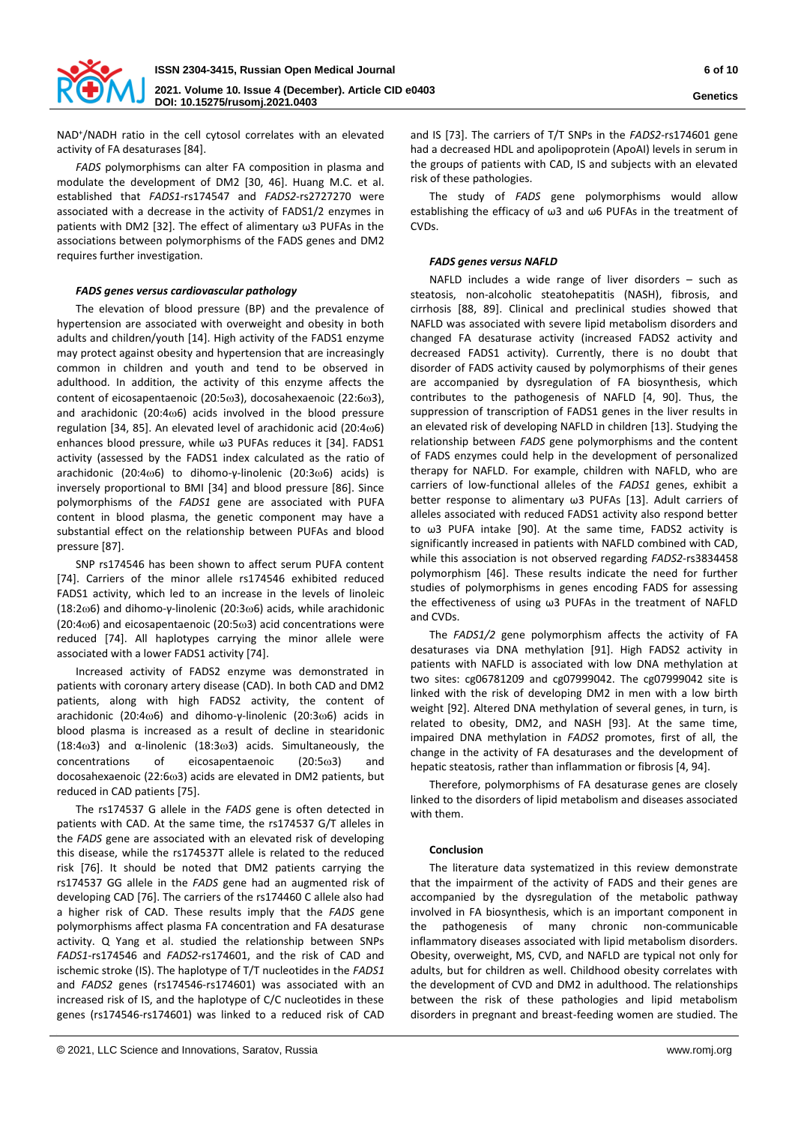

NAD<sup>+</sup>/NADH ratio in the cell cytosol correlates with an elevated activity of FA desaturases [84].

*FADS* polymorphisms can alter FA composition in plasma and modulate the development of DM2 [30, 46]. Huang М.С. et al. established that *FADS1*-rs174547 and *FADS2*-rs2727270 were associated with a decrease in the activity of FADS1/2 enzymes in patients with DM2 [32]. The effect of alimentary ω3 PUFAs in the associations between polymorphisms of the FADS genes and DM2 requires further investigation.

## *FADS genes versus cardiovascular pathology*

The elevation of blood pressure (BP) and the prevalence of hypertension are associated with overweight and obesity in both adults and children/youth [14]. High activity of the FADS1 enzyme may protect against obesity and hypertension that are increasingly common in children and youth and tend to be observed in adulthood. In addition, the activity of this enzyme affects the content of eicosapentaenoic (20:5 $\omega$ 3), docosahexaenoic (22:6 $\omega$ 3), and arachidonic (20:4 $\omega$ 6) acids involved in the blood pressure regulation [34, 85]. An elevated level of arachidonic acid (20:4 $\omega$ 6) enhances blood pressure, while ω3 PUFAs reduces it [34]. FADS1 activity (assessed by the FADS1 index calculated as the ratio of arachidonic (20:4ω6) to dihomo-γ-linolenic (20:3ω6) acids) is inversely proportional to BMI [34] and blood pressure [86]. Since polymorphisms of the *FADS1* gene are associated with PUFA content in blood plasma, the genetic component may have a substantial effect on the relationship between PUFAs and blood pressure [87].

SNP rs174546 has been shown to affect serum PUFA content [74]. Carriers of the minor allele rs174546 exhibited reduced FADS1 activity, which led to an increase in the levels of linoleic (18:2 $\omega$ 6) and dihomo-γ-linolenic (20:3 $\omega$ 6) acids, while arachidonic  $(20:4\omega$ 6) and eicosapentaenoic  $(20:5\omega)$  acid concentrations were reduced [74]. All haplotypes carrying the minor allele were associated with a lower FADS1 activity [74].

Increased activity of FADS2 enzyme was demonstrated in patients with coronary artery disease (CAD). In both CAD and DM2 patients, along with high FADS2 activity, the content of arachidonic (20:4 $\omega$ 6) and dihomo-y-linolenic (20:3 $\omega$ 6) acids in blood plasma is increased as a result of decline in stearidonic (18:4 $\omega$ 3) and  $\alpha$ -linolenic (18:3 $\omega$ 3) acids. Simultaneously, the concentrations of eicosapentaenoic (20:53) and docosahexaenoic (22:6 $\omega$ 3) acids are elevated in DM2 patients, but reduced in CAD patients [75].

The rs174537 G allele in the *FADS* gene is often detected in patients with CAD. At the same time, the rs174537 G/T alleles in the *FADS* gene are associated with an elevated risk of developing this disease, while the rs174537T allele is related to the reduced risk [76]. It should be noted that DM2 patients carrying the rs174537 GG allele in the *FADS* gene had an augmented risk of developing CAD [76]. The carriers of the rs174460 C allele also had a higher risk of CAD. These results imply that the *FADS* gene polymorphisms affect plasma FA concentration and FA desaturase activity. Q Yang et al. studied the relationship between SNPs *FADS1*-rs174546 and *FADS2*-rs174601, and the risk of CAD and ischemic stroke (IS). The haplotype of T/T nucleotides in the *FADS1* and *FADS2* genes (rs174546-rs174601) was associated with an increased risk of IS, and the haplotype of C/C nucleotides in these genes (rs174546-rs174601) was linked to a reduced risk of CAD

and IS [73]. The carriers of T/T SNPs in the *FADS2*-rs174601 gene had a decreased HDL and apolipoprotein (ApoAI) levels in serum in the groups of patients with CAD, IS and subjects with an elevated risk of these pathologies.

The study of *FADS* gene polymorphisms would allow establishing the efficacy of ω3 and ω6 PUFAs in the treatment of CVDs.

## *FADS genes versus NAFLD*

NAFLD includes a wide range of liver disorders – such as steatosis, non-alcoholic steatohepatitis (NASH), fibrosis, and cirrhosis [88, 89]. Clinical and preclinical studies showed that NAFLD was associated with severe lipid metabolism disorders and changed FA desaturase activity (increased FADS2 activity and decreased FADS1 activity). Currently, there is no doubt that disorder of FADS activity caused by polymorphisms of their genes are accompanied by dysregulation of FA biosynthesis, which contributes to the pathogenesis of NAFLD [4, 90]. Thus, the suppression of transcription of FADS1 genes in the liver results in an elevated risk of developing NAFLD in children [13]. Studying the relationship between *FADS* gene polymorphisms and the content of FADS enzymes could help in the development of personalized therapy for NAFLD. For example, children with NAFLD, who are carriers of low-functional alleles of the *FADS1* genes, exhibit a better response to alimentary ω3 PUFAs [13]. Adult carriers of alleles associated with reduced FADS1 activity also respond better to ω3 PUFA intake [90]. At the same time, FADS2 activity is significantly increased in patients with NAFLD combined with CAD, while this association is not observed regarding *FADS2*-rs3834458 polymorphism [46]. These results indicate the need for further studies of polymorphisms in genes encoding FADS for assessing the effectiveness of using ω3 PUFAs in the treatment of NAFLD and CVDs.

The *FADS1/2* gene polymorphism affects the activity of FA desaturases via DNA methylation [91]. High FADS2 activity in patients with NAFLD is associated with low DNA methylation at two sites: cg06781209 and cg07999042. The cg07999042 site is linked with the risk of developing DM2 in men with a low birth weight [92]. Altered DNA methylation of several genes, in turn, is related to obesity, DM2, and NASH [93]. At the same time, impaired DNA methylation in *FADS2* promotes, first of all, the change in the activity of FA desaturases and the development of hepatic steatosis, rather than inflammation or fibrosis [4, 94].

Therefore, polymorphisms of FA desaturase genes are closely linked to the disorders of lipid metabolism and diseases associated with them.

#### **Conclusion**

The literature data systematized in this review demonstrate that the impairment of the activity of FADS and their genes are accompanied by the dysregulation of the metabolic pathway involved in FA biosynthesis, which is an important component in the pathogenesis of many chronic non-communicable inflammatory diseases associated with lipid metabolism disorders. Obesity, overweight, MS, CVD, and NAFLD are typical not only for adults, but for children as well. Childhood obesity correlates with the development of CVD and DM2 in adulthood. The relationships between the risk of these pathologies and lipid metabolism disorders in pregnant and breast-feeding women are studied. The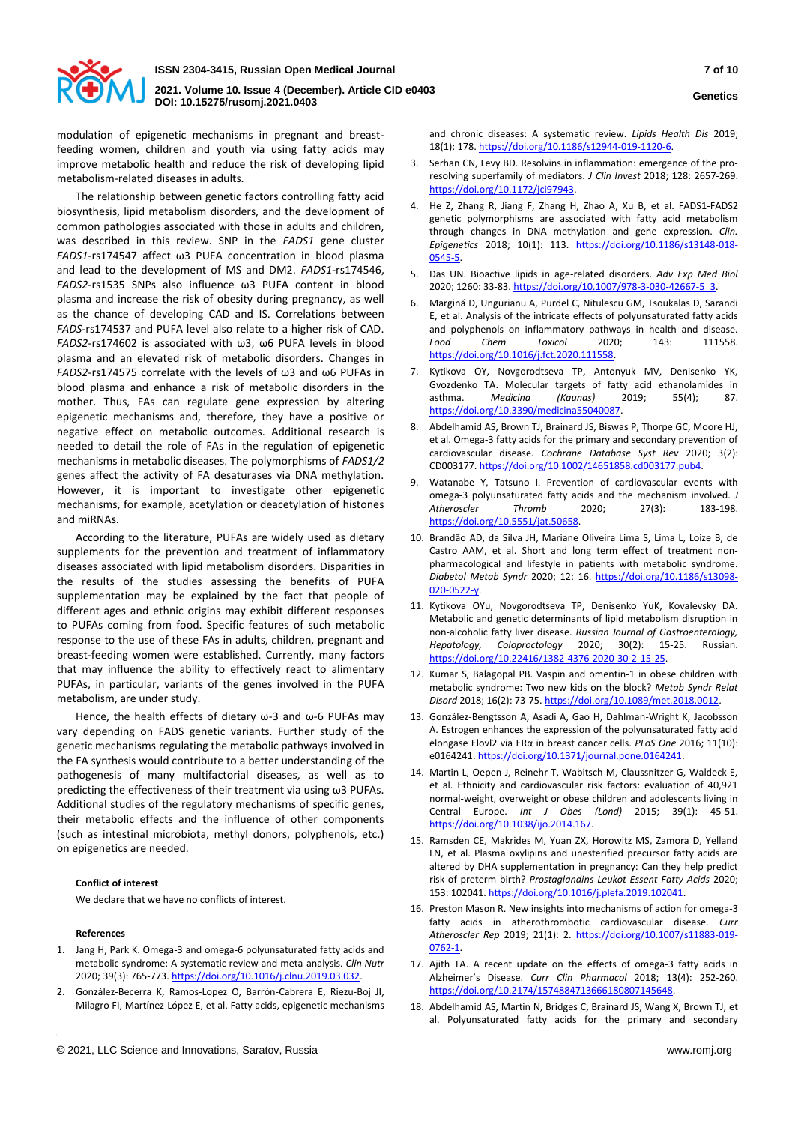

modulation of epigenetic mechanisms in pregnant and breastfeeding women, children and youth via using fatty acids may improve metabolic health and reduce the risk of developing lipid metabolism-related diseases in adults.

The relationship between genetic factors controlling fatty acid biosynthesis, lipid metabolism disorders, and the development of common pathologies associated with those in adults and children, was described in this review. SNP in the *FADS1* gene cluster *FADS1*-rs174547 affect ω3 PUFA concentration in blood plasma and lead to the development of MS and DM2. *FADS1*-rs174546, *FADS2*-rs1535 SNPs also influence ω3 PUFA content in blood plasma and increase the risk of obesity during pregnancy, as well as the chance of developing CAD and IS. Correlations between *FADS*-rs174537 and PUFA level also relate to a higher risk of CAD. *FADS2*-rs174602 is associated with ω3, ω6 PUFA levels in blood plasma and an elevated risk of metabolic disorders. Changes in *FADS2*-rs174575 correlate with the levels of ω3 and ω6 PUFAs in blood plasma and enhance a risk of metabolic disorders in the mother. Thus, FAs can regulate gene expression by altering epigenetic mechanisms and, therefore, they have a positive or negative effect on metabolic outcomes. Additional research is needed to detail the role of FAs in the regulation of epigenetic mechanisms in metabolic diseases. The polymorphisms of *FADS1/2* genes affect the activity of FA desaturases via DNA methylation. However, it is important to investigate other epigenetic mechanisms, for example, acetylation or deacetylation of histones and miRNAs.

According to the literature, PUFAs are widely used as dietary supplements for the prevention and treatment of inflammatory diseases associated with lipid metabolism disorders. Disparities in the results of the studies assessing the benefits of PUFA supplementation may be explained by the fact that people of different ages and ethnic origins may exhibit different responses to PUFAs coming from food. Specific features of such metabolic response to the use of these FAs in adults, children, pregnant and breast-feeding women were established. Currently, many factors that may influence the ability to effectively react to alimentary PUFAs, in particular, variants of the genes involved in the PUFA metabolism, are under study.

Hence, the health effects of dietary ω-3 and ω-6 PUFAs may vary depending on FADS genetic variants. Further study of the genetic mechanisms regulating the metabolic pathways involved in the FA synthesis would contribute to a better understanding of the pathogenesis of many multifactorial diseases, as well as to predicting the effectiveness of their treatment via using ω3 PUFAs. Additional studies of the regulatory mechanisms of specific genes, their metabolic effects and the influence of other components (such as intestinal microbiota, methyl donors, polyphenols, etc.) on epigenetics are needed.

## **Conflict of interest**

We declare that we have no conflicts of interest.

#### **References**

- 1. Jang H, Park K. Omega-3 and omega-6 polyunsaturated fatty acids and metabolic syndrome: A systematic review and meta-analysis. *Clin Nutr* 2020; 39(3): 765-773[. https://doi.org/10.1016/j.clnu.2019.03.032.](https://doi.org/10.1016/j.clnu.2019.03.032)
- 2. González-Becerra K, Ramos-Lopez O, Barrón-Cabrera E, Riezu-Boj JI, Milagro FI, Martínez-López E, et al. Fatty acids, epigenetic mechanisms

and chronic diseases: A systematic review. *Lipids Health Dis* 2019; 18(1): 178[. https://doi.org/10.1186/s12944-019-1120-6.](https://doi.org/10.1186/s12944-019-1120-6) 

- 3. Serhan CN, Levy BD. Resolvins in inflammation: emergence of the proresolving superfamily of mediators. *J Clin Invest* 2018; 128: 2657-269. [https://doi.org/10.1172/jci97943.](https://doi.org/10.1172/jci97943)
- 4. He Z, Zhang R, Jiang F, Zhang H, Zhao A, Xu B, et al. FADS1-FADS2 genetic polymorphisms are associated with fatty acid metabolism through changes in DNA methylation and gene expression. *Clin. Epigenetics* 2018; 10(1): 113. [https://doi.org/10.1186/s13148-018-](https://doi.org/10.1186/s13148-018-0545-5) [0545-5.](https://doi.org/10.1186/s13148-018-0545-5)
- 5. Das UN. Bioactive lipids in age-related disorders. *Adv Exp Med Biol* 2020; 1260: 33-83[. https://doi.org/10.1007/978-3-030-42667-5\\_3.](https://doi.org/10.1007/978-3-030-42667-5_3)
- 6. Margină D, Ungurianu A, Purdel C, Nitulescu GM, Tsoukalas D, Sarandi E, et al. Analysis of the intricate effects of polyunsaturated fatty acids and polyphenols on inflammatory pathways in health and disease. *Food Chem Toxicol* 2020; 143: 111558. [https://doi.org/10.1016/j.fct.2020.111558.](https://doi.org/10.1016/j.fct.2020.111558)
- 7. Kytikova OY, Novgorodtseva TP, Antonyuk MV, Denisenko YK, Gvozdenko ТA. Molecular targets of fatty acid ethanolamides in asthma. *Medicina (Kaunas)* 2019; 55(4); 87. [https://doi.org/10.3390/medicina55040087.](https://doi.org/10.3390/medicina55040087)
- 8. Abdelhamid AS, Brown TJ, Brainard JS, Biswas P, Thorpe GC, Moore HJ, et al. Omega-3 fatty acids for the primary and secondary prevention of cardiovascular disease. *Cochrane Database Syst Rev* 2020; 3(2): CD003177[. https://doi.org/10.1002/14651858.cd003177.pub4.](https://doi.org/10.1002/14651858.cd003177.pub4)
- 9. Watanabe Y, Tatsuno I. Prevention of cardiovascular events with omega-3 polyunsaturated fatty acids and the mechanism involved. *J Atheroscler Thromb* 2020; 27(3): 183-198. [https://doi.org/10.5551/jat.50658.](https://doi.org/10.5551/jat.50658)
- 10. Brandão AD, da Silva JH, Mariane Oliveira Lima S, Lima L, Loize B, de Castro AAM, et al. Short and long term effect of treatment nonpharmacological and lifestyle in patients with metabolic syndrome. *Diabetol Metab Syndr* 2020; 12: 16. [https://doi.org/10.1186/s13098-](https://doi.org/10.1186/s13098-020-0522-y) [020-0522-y.](https://doi.org/10.1186/s13098-020-0522-y)
- 11. Kytikova OYu, Novgorodtseva TP, Denisenko YuK, Kovalevsky DA. Metabolic and genetic determinants of lipid metabolism disruption in non-alcoholic fatty liver disease. *Russian Journal of Gastroenterology, Hepatology, Coloproctology* 2020; 30(2): 15-25. Russian. [https://doi.org/10.22416/1382-4376-2020-30-2-15-25.](https://doi.org/10.22416/1382-4376-2020-30-2-15-25)
- 12. Kumar S, Balagopal PB. Vaspin and omentin-1 in obese children with metabolic syndrome: Two new kids on the block? *Metab Syndr Relat Disord* 2018; 16(2): 73-75[. https://doi.org/10.1089/met.2018.0012.](https://doi.org/10.1089/met.2018.0012)
- 13. González-Bengtsson A, Asadi A, Gao H, Dahlman-Wright K, Jacobsson A. Estrogen enhances the expression of the polyunsaturated fatty acid elongase Elovl2 via ERα in breast cancer cells. *РLoS One* 2016; 11(10): e0164241[. https://doi.org/10.1371/journal.pone.0164241.](https://doi.org/10.1371/journal.pone.0164241)
- 14. Martin L, Oepen J, Reinehr T, Wabitsch M, Claussnitzer G, Waldeck E, et al. Ethnicity and cardiovascular risk factors: evaluation of 40,921 normal-weight, overweight or obese children and adolescents living in Central Europe. *Int J Obes (Lond)* 2015; 39(1): 45-51. [https://doi.org/10.1038/ijo.2014.167.](https://doi.org/10.1038/ijo.2014.167)
- 15. Ramsden CE, Makrides M, Yuan ZX, Horowitz MS, Zamora D, Yelland LN, et al. Plasma oxylipins and unesterified precursor fatty acids are altered by DHA supplementation in pregnancy: Can they help predict risk of preterm birth? *Prostaglandins Leukot Essent Fatty Acids* 2020; 153: 102041[. https://doi.org/10.1016/j.plefa.2019.102041.](https://doi.org/10.1016/j.plefa.2019.102041)
- 16. Preston Mason R. New insights into mechanisms of action for omega-3 fatty acids in atherothrombotic cardiovascular disease. *Curr Atheroscler Rep* 2019; 21(1): 2. [https://doi.org/10.1007/s11883-019-](https://doi.org/10.1007/s11883-019-0762-1) [0762-1.](https://doi.org/10.1007/s11883-019-0762-1)
- 17. Ajith TA. A recent update on the effects of omega-3 fatty acids in Alzheimer's Disease. *Curr Clin Pharmacol* 2018; 13(4): 252-260. [https://doi.org/10.2174/1574884713666180807145648.](https://doi.org/10.2174/1574884713666180807145648)
- 18. Abdelhamid AS, Martin N, Bridges C, Brainard JS, Wang X, Brown TJ, et al. Polyunsaturated fatty acids for the primary and secondary

**Genetics**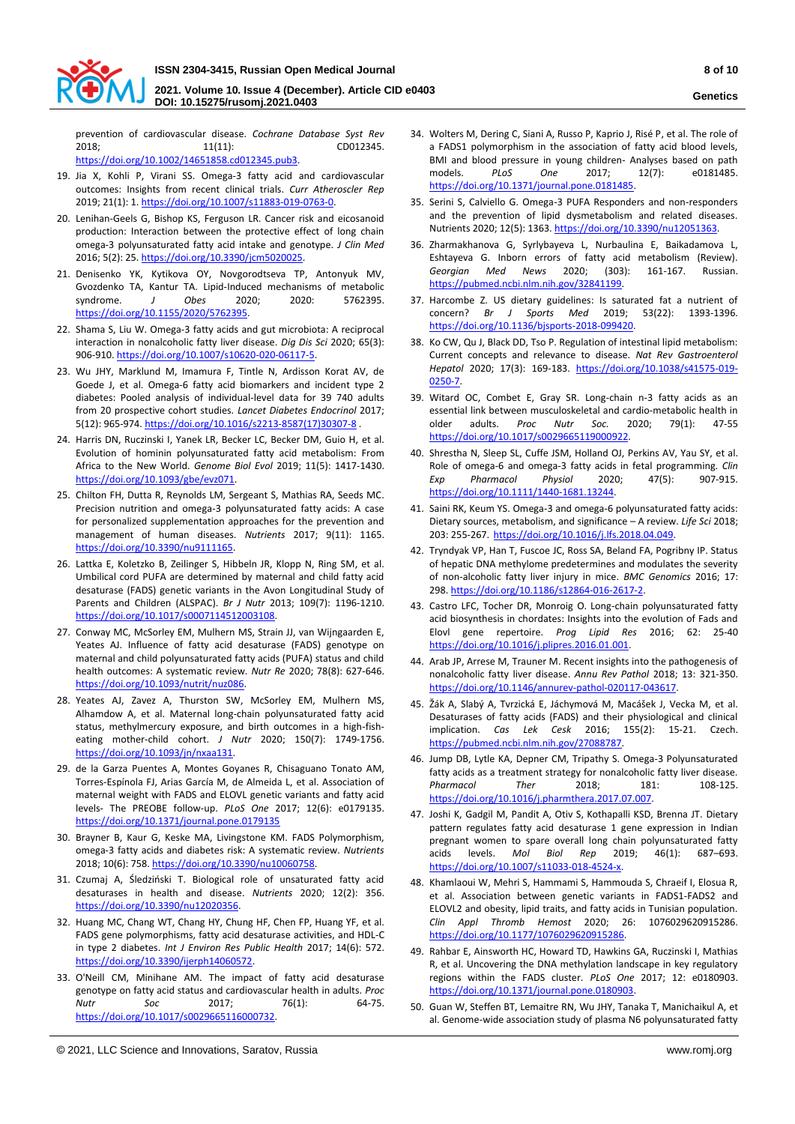

**DOI: 10.15275/rusomj.2021.0403**

prevention of cardiovascular disease. *Cochrane Database Syst Rev* 2018; 11(11): CD012345. [https://doi.org/10.1002/14651858.cd012345.pub3.](https://doi.org/10.1002/14651858.cd012345.pub3) 

- 19. Jia X, Kohli P, Virani SS. Omega-3 fatty acid and cardiovascular outcomes: Insights from recent clinical trials. *Curr Atheroscler Rep* 2019; 21(1): 1[. https://doi.org/10.1007/s11883-019-0763-0.](https://doi.org/10.1007/s11883-019-0763-0)
- 20. Lenihan-Geels G, Bishop KS, Ferguson LR. Cancer risk and eicosanoid production: Interaction between the protective effect of long chain omega-3 polyunsaturated fatty acid intake and genotype. *J Clin Med* 2016; 5(2): 25[. https://doi.org/10.3390/jcm5020025.](https://doi.org/10.3390/jcm5020025)
- 21. Denisenko YK, Kytikova OY, Novgorodtseva TP, Antonyuk MV, Gvozdenko TA, Kantur TA. Lipid-Induced mechanisms of metabolic syndrome. *J Obes* 2020; 2020: 5762395. [https://doi.org/10.1155/2020/5762395.](https://doi.org/10.1155/2020/5762395)
- 22. Shama S, Liu W. Omega-3 fatty acids and gut microbiota: A reciprocal interaction in nonalcoholic fatty liver disease. *Dig Dis Sci* 2020; 65(3): 906-910[. https://doi.org/10.1007/s10620-020-06117-5.](https://doi.org/10.1007/s10620-020-06117-5)
- 23. Wu JHY, Marklund M, Imamura F, Tintle N, Ardisson Korat AV, de Goede J, et al. Omega-6 fatty acid biomarkers and incident type 2 diabetes: Pooled analysis of individual-level data for 39 740 adults from 20 prospective cohort studies. *Lancet Diabetes Endocrinol* 2017; 5(12): 965-974[. https://doi.org/10.1016/s2213-8587\(17\)30307-8](https://doi.org/10.1016/s2213-8587(17)30307-8) .
- 24. Harris DN, Ruczinski I, Yanek LR, Becker LC, Becker DM, Guio H, et al. Evolution of hominin polyunsaturated fatty acid metabolism: From Africa to the New World. *Genome Biol Evol* 2019; 11(5): 1417-1430. [https://doi.org/10.1093/gbe/evz071.](https://doi.org/10.1093/gbe/evz071)
- 25. Chilton FH, Dutta R, Reynolds LM, Sergeant S, Mathias RA, Seeds MC. Precision nutrition and omega-3 polyunsaturated fatty acids: A case for personalized supplementation approaches for the prevention and management of human diseases. *Nutrients* 2017; 9(11): 1165. [https://doi.org/10.3390/nu9111165.](https://doi.org/10.3390/nu9111165)
- 26. Lattka E, Koletzko B, Zeilinger S, Hibbeln JR, Klopp N, Ring SM, et al. Umbilical cord PUFA are determined by maternal and child fatty acid desaturase (FADS) genetic variants in the Avon Longitudinal Study of Parents and Children (ALSPAC). *Br J Nutr* 2013; 109(7): 1196-1210. [https://doi.org/10.1017/s0007114512003108.](https://doi.org/10.1017/s0007114512003108)
- 27. Conway MC, McSorley EM, Mulhern MS, Strain JJ, van Wijngaarden E, Yeates AJ. Influence of fatty acid desaturase (FADS) genotype on maternal and child polyunsaturated fatty acids (PUFA) status and child health outcomes: A systematic review. *Nutr Re* 2020; 78(8): 627-646. [https://doi.org/10.1093/nutrit/nuz086.](https://doi.org/10.1093/nutrit/nuz086)
- 28. Yeates AJ, Zavez A, Thurston SW, McSorley EM, Mulhern MS, Alhamdow A, et al. Maternal long-chain polyunsaturated fatty acid status, methylmercury exposure, and birth outcomes in a high-fisheating mother-child cohort. *J Nutr* 2020; 150(7): 1749-1756. [https://doi.org/10.1093/jn/nxaa131.](https://doi.org/10.1093/jn/nxaa131)
- 29. de la Garza Puentes A, Montes Goyanes R, Chisaguano Tonato AM, Torres-Espínola FJ, Arias García M, de Almeida L, et al. Association of maternal weight with FADS and ELOVL genetic variants and fatty acid levels- The PREOBE follow-up. *PLoS One* 2017; 12(6): e0179135. <https://doi.org/10.1371/journal.pone.0179135>
- 30. Brayner B, Kaur G, Keske MA, Livingstone KM. FADS Polymorphism, omega-3 fatty acids and diabetes risk: A systematic review. *Nutrients* 2018; 10(6): 758[. https://doi.org/10.3390/nu10060758.](https://doi.org/10.3390/nu10060758)
- 31. Czumaj A, Śledziński T. Biological role of unsaturated fatty acid desaturases in health and disease. *Nutrients* 2020; 12(2): 356. [https://doi.org/10.3390/nu12020356.](https://doi.org/10.3390/nu12020356)
- 32. Huang MC, Chang WT, Chang HY, Chung HF, Chen FP, Huang YF, et al. FADS gene polymorphisms, fatty acid desaturase activities, and HDL-C in type 2 diabetes. *Int J Environ Res Public Health* 2017; 14(6): 572. [https://doi.org/10.3390/ijerph14060572.](https://doi.org/10.3390/ijerph14060572)
- 33. O'Neill CM, Minihane AM. The impact of fatty acid desaturase genotype on fatty acid status and cardiovascular health in adults. *Proc Nutr Soc* 2017; 76(1): 64-75. [https://doi.org/10.1017/s0029665116000732.](https://doi.org/10.1017/s0029665116000732)
- 34. Wolters M, Dering C, Siani A, Russo P, Kaprio J, Risé P, et al. The role of a FADS1 polymorphism in the association of fatty acid blood levels, BMI and blood pressure in young children- Analyses based on path models. *PLoS One* 2017; 12(7): e0181485. [https://doi.org/10.1371/journal.pone.0181485.](https://doi.org/10.1371/journal.pone.0181485)
- 35. Serini S, Calviello G. Omega-3 PUFA Responders and non-responders and the prevention of lipid dysmetabolism and related diseases. Nutrients 2020; 12(5): 1363[. https://doi.org/10.3390/nu12051363.](https://doi.org/10.3390/nu12051363)
- 36. Zharmakhanova G, Syrlybayeva L, Nurbaulina E, Baikadamova L, Eshtayeva G. Inborn errors of fatty acid metabolism (Review). *Georgian Med News* 2020; (303): 161-167. Russian. [https://pubmed.ncbi.nlm.nih.gov/32841199.](https://pubmed.ncbi.nlm.nih.gov/32841199)
- 37. Harcombe Z. US dietary guidelines: Is saturated fat a nutrient of concern? *Br J Sports Med* 2019; 53(22): 1393-1396. [https://doi.org/10.1136/bjsports-2018-099420.](https://doi.org/10.1136/bjsports-2018-099420)
- 38. Ko CW, Qu J, Black DD, Tso P. Regulation of intestinal lipid metabolism: Current concepts and relevance to disease. *Nat Rev Gastroenterol Hepatol* 2020; 17(3): 169-183. [https://doi.org/10.1038/s41575-019-](https://doi.org/10.1038/s41575-019-0250-7) [0250-7.](https://doi.org/10.1038/s41575-019-0250-7)
- 39. Witard OC, Combet E, Gray SR. Long-chain n-3 fatty acids as an essential link between musculoskeletal and cardio-metabolic health in older adults. *Proc Nutr Soc.* 2020; 79(1): 47-55 [https://doi.org/10.1017/s0029665119000922.](https://doi.org/10.1017/s0029665119000922)
- 40. Shrestha N, Sleep SL, Cuffe JSM, Holland OJ, Perkins AV, Yau SY, et al. Role of omega-6 and omega-3 fatty acids in fetal programming. *Clin Exp Pharmacol Physiol* 2020; 47(5): 907-915. [https://doi.org/10.1111/1440-1681.13244.](https://doi.org/10.1111/1440-1681.13244)
- 41. Saini RK, Keum YS. Omega-3 and omega-6 polyunsaturated fatty acids: Dietary sources, metabolism, and significance – A review. *Life Sci* 2018; 203: 255-267. [https://doi.org/10.1016/j.lfs.2018.04.049.](https://doi.org/10.1016/j.lfs.2018.04.049)
- 42. Tryndyak VP, Han T, Fuscoe JC, Ross SA, Beland FA, Pogribny IP. Status of hepatic DNA methylome predetermines and modulates the severity of non-alcoholic fatty liver injury in mice. *BMC Genomics* 2016; 17: 298[. https://doi.org/10.1186/s12864-016-2617-2.](https://doi.org/10.1186/s12864-016-2617-2)
- 43. Castro LFC, Tocher DR, Monroig O. Long-chain polyunsaturated fatty acid biosynthesis in chordates: Insights into the evolution of Fads and Elovl gene repertoire. *Prog Lipid Res* 2016; 62: 25-40 [https://doi.org/10.1016/j.plipres.2016.01.001.](https://doi.org/10.1016/j.plipres.2016.01.001)
- 44. Arab JP, Arrese M, Trauner M. Recent insights into the pathogenesis of nonalcoholic fatty liver disease. *Annu Rev Pathol* 2018; 13: 321-350. [https://doi.org/10.1146/annurev-pathol-020117-043617.](https://doi.org/10.1146/annurev-pathol-020117-043617)
- 45. Žák A, Slabý A, Tvrzická E, Jáchymová M, Macášek J, Vecka M, et al. Desaturases of fatty acids (FADS) and their physiological and clinical implication. *Cas Lek Cesk* 2016; 155(2): 15-21. Czech. [https://pubmed.ncbi.nlm.nih.gov/27088787.](https://pubmed.ncbi.nlm.nih.gov/27088787)
- 46. Jump DB, Lytle KA, Depner CM, Tripathy S. Omega-3 Polyunsaturated fatty acids as a treatment strategy for nonalcoholic fatty liver disease. *Pharmacol Ther* 2018; 181: 108-125. [https://doi.org/10.1016/j.pharmthera.2017.07.007.](https://doi.org/10.1016/j.pharmthera.2017.07.007)
- 47. Joshi K, Gadgil M, Pandit A, Otiv S, Kothapalli KSD, Brenna JT. Dietary pattern regulates fatty acid desaturase 1 gene expression in Indian pregnant women to spare overall long chain polyunsaturated fatty acids levels. *Mol Biol Rep* 2019; 46(1): 687–693. [https://doi.org/10.1007/s11033-018-4524-x.](https://doi.org/10.1007/s11033-018-4524-x)
- 48. Khamlaoui W, Mehri S, Hammami S, Hammouda S, Chraeif I, Elosua R, et al. Association between genetic variants in FADS1-FADS2 and ELOVL2 and obesity, lipid traits, and fatty acids in Tunisian population. *Clin Appl Thromb Hemost* 2020; 26: 1076029620915286. [https://doi.org/10.1177/1076029620915286.](https://doi.org/10.1177/1076029620915286)
- 49. Rahbar E, Ainsworth HC, Howard TD, Hawkins GA, Ruczinski I, Mathias R, et al. Uncovering the DNA methylation landscape in key regulatory regions within the FADS cluster. *PLoS One* 2017; 12: e0180903. [https://doi.org/10.1371/journal.pone.0180903.](https://doi.org/10.1371/journal.pone.0180903)
- 50. Guan W, Steffen BT, Lemaitre RN, Wu JHY, Tanaka T, Manichaikul A, et al. Genome-wide association study of plasma N6 polyunsaturated fatty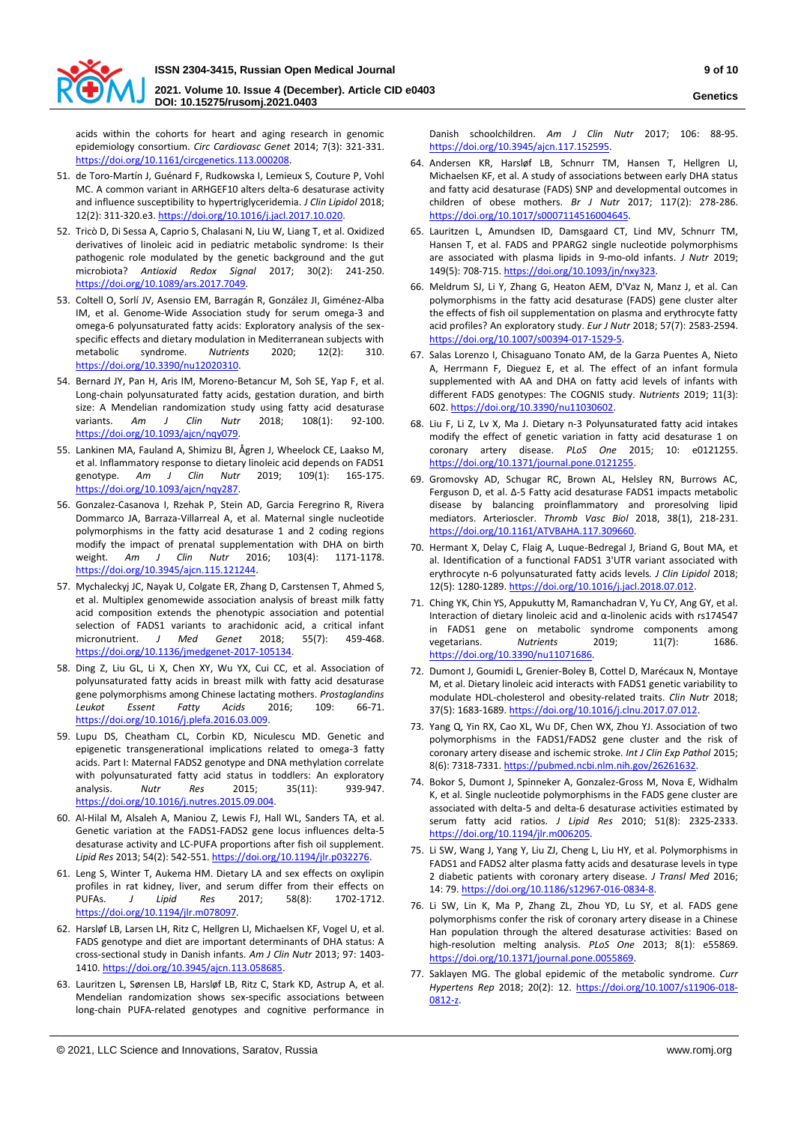

acids within the cohorts for heart and aging research in genomic epidemiology consortium. *Circ Cardiovasc Genet* 2014; 7(3): 321-331. [https://doi.org/10.1161/circgenetics.113.000208.](https://doi.org/10.1161/circgenetics.113.000208) 

- 51. de Toro-Martín J, Guénard F, Rudkowska I, Lemieux S, Couture P, Vohl MC. A common variant in ARHGEF10 alters delta-6 desaturase activity and influence susceptibility to hypertriglyceridemia. *J Clin Lipidol* 2018; 12(2): 311-320.e3[. https://doi.org/10.1016/j.jacl.2017.10.020.](https://doi.org/10.1016/j.jacl.2017.10.020)
- 52. Tricò D, Di Sessa A, Caprio S, Chalasani N, Liu W, Liang T, et al. Oxidized derivatives of linoleic acid in pediatric metabolic syndrome: Is their pathogenic role modulated by the genetic background and the gut microbiota? *Antioxid Redox Signal* 2017; 30(2): 241-250. [https://doi.org/10.1089/ars.2017.7049.](https://doi.org/10.1089/ars.2017.7049)
- 53. Coltell O, Sorlí JV, Asensio EM, Barragán R, González JI, Giménez-Alba IM, et al. Genome-Wide Association study for serum omega-3 and omega-6 polyunsaturated fatty acids: Exploratory analysis of the sexspecific effects and dietary modulation in Mediterranean subjects with metabolic syndrome. *Nutrients* 2020; 12(2): 310. [https://doi.org/10.3390/nu12020310.](https://doi.org/10.3390/nu12020310)
- 54. Bernard JY, Pan H, Aris IM, Moreno-Betancur M, Soh SE, Yap F, et al. Long-chain polyunsaturated fatty acids, gestation duration, and birth size: A Mendelian randomization study using fatty acid desaturase variants. *Am J Clin Nutr* 2018; 108(1): 92-100. [https://doi.org/10.1093/ajcn/nqy079.](https://doi.org/10.1093/ajcn/nqy079)
- 55. Lankinen MA, Fauland A, Shimizu BI, Ågren J, Wheelock CE, Laakso M, et al. Inflammatory response to dietary linoleic acid depends on FADS1 genotype. *Am J Clin Nutr* 2019; 109(1): 165-175. [https://doi.org/10.1093/ajcn/nqy287.](https://doi.org/10.1093/ajcn/nqy287)
- 56. Gonzalez-Casanova I, Rzehak P, Stein AD, Garcia Feregrino R, Rivera Dommarco JA, Barraza-Villarreal A, et al. Maternal single nucleotide polymorphisms in the fatty acid desaturase 1 and 2 coding regions modify the impact of prenatal supplementation with DHA on birth weight. *Am J Clin Nutr* 2016; 103(4): 1171-1178. [https://doi.org/10.3945/ajcn.115.121244.](https://doi.org/10.3945/ajcn.115.121244)
- 57. Mychaleckyj JC, Nayak U, Colgate ER, Zhang D, Carstensen T, Ahmed S, et al. Multiplex genomewide association analysis of breast milk fatty acid composition extends the phenotypic association and potential selection of FADS1 variants to arachidonic acid, a critical infant micronutrient. *J Med Genet* 2018; 55(7): 459-468. [https://doi.org/10.1136/jmedgenet-2017-105134.](https://doi.org/10.1136/jmedgenet-2017-105134)
- 58. Ding Z, Liu GL, Li X, Chen XY, Wu YX, Cui CC, et al. Association of polyunsaturated fatty acids in breast milk with fatty acid desaturase gene polymorphisms among Chinese lactating mothers. *Prostaglandins Leukot Essent Fatty Acids* 2016; 109: 66-71. [https://doi.org/10.1016/j.plefa.2016.03.009.](https://doi.org/10.1016/j.plefa.2016.03.009)
- 59. Lupu DS, Cheatham CL, Corbin KD, Niculescu MD. Genetic and epigenetic transgenerational implications related to omega-3 fatty acids. Part I: Maternal FADS2 genotype and DNA methylation correlate with polyunsaturated fatty acid status in toddlers: An exploratory<br>analvsis. Nutr Res 2015; 35(11): 939-947. analysis. *Nutr Res* 2015; 35(11): 939-947. [https://doi.org/10.1016/j.nutres.2015.09.004.](https://doi.org/10.1016/j.nutres.2015.09.004)
- 60. Al-Hilal M, Alsaleh A, Maniou Z, Lewis FJ, Hall WL, Sanders TA, et al. Genetic variation at the FADS1-FADS2 gene locus influences delta-5 desaturase activity and LC-PUFA proportions after fish oil supplement. *Lipid Res* 2013; 54(2): 542-551[. https://doi.org/10.1194/jlr.p032276.](https://doi.org/10.1194/jlr.p032276)
- 61. Leng S, Winter T, Aukema HM. Dietary LA and sex effects on oxylipin profiles in rat kidney, liver, and serum differ from their effects on PUFAs. *J Lipid Res* 2017; 58(8): 1702-1712. [https://doi.org/10.1194/jlr.m078097.](https://doi.org/10.1194/jlr.m078097)
- 62. Harsløf LB, Larsen LH, Ritz C, Hellgren LI, Michaelsen KF, Vogel U, et al. FADS genotype and diet are important determinants of DHA status: A cross-sectional study in Danish infants. *Am J Clin Nutr* 2013; 97: 1403- 1410[. https://doi.org/10.3945/ajcn.113.058685.](https://doi.org/10.3945/ajcn.113.058685)
- 63. Lauritzen L, Sørensen LB, Harsløf LB, Ritz C, Stark KD, Astrup A, et al. Mendelian randomization shows sex-specific associations between long-chain PUFA-related genotypes and cognitive performance in

Danish schoolchildren. *Am J Clin Nutr* 2017; 106: 88-95. [https://doi.org/10.3945/ajcn.117.152595.](https://doi.org/10.3945/ajcn.117.152595) 

- 64. Andersen KR, Harsløf LB, Schnurr TM, Hansen T, Hellgren LI, Michaelsen KF, et al. A study of associations between early DHA status and fatty acid desaturase (FADS) SNP and developmental outcomes in children of obese mothers. *Br J Nutr* 2017; 117(2): 278-286. [https://doi.org/10.1017/s0007114516004645.](https://doi.org/10.1017/s0007114516004645)
- 65. Lauritzen L, Amundsen ID, Damsgaard CT, Lind MV, Schnurr TM, Hansen T, et al. FADS and PPARG2 single nucleotide polymorphisms are associated with plasma lipids in 9-mo-old infants. *J Nutr* 2019; 149(5): 708-715[. https://doi.org/10.1093/jn/nxy323.](https://doi.org/10.1093/jn/nxy323)
- 66. Meldrum SJ, Li Y, Zhang G, Heaton AEM, D'Vaz N, Manz J, et al. Can polymorphisms in the fatty acid desaturase (FADS) gene cluster alter the effects of fish oil supplementation on plasma and erythrocyte fatty acid profiles? An exploratory study. *Eur J Nutr* 2018; 57(7): 2583-2594. [https://doi.org/10.1007/s00394-017-1529-5.](https://doi.org/10.1007/s00394-017-1529-5)
- 67. Salas Lorenzo I, Chisaguano Tonato AM, de la Garza Puentes A, Nieto A, Herrmann F, Dieguez E, et al. The effect of an infant formula supplemented with AA and DHA on fatty acid levels of infants with different FADS genotypes: The COGNIS study. *Nutrients* 2019; 11(3): 602[. https://doi.org/10.3390/nu11030602.](https://doi.org/10.3390/nu11030602)
- 68. Liu F, Li Z, Lv X, Ma J. Dietary n-3 Polyunsaturated fatty acid intakes modify the effect of genetic variation in fatty acid desaturase 1 on coronary artery disease. *PLoS One* 2015; 10: e0121255. [https://doi.org/10.1371/journal.pone.0121255.](https://doi.org/10.1371/journal.pone.0121255)
- 69. Gromovsky AD, Schugar RC, Brown AL, Helsley RN, Burrows AC, Ferguson D, et al. Δ-5 Fatty acid desaturase FADS1 impacts metabolic disease by balancing proinflammatory and proresolving lipid mediators. Arterioscler. *Thromb Vasc Biol* 2018, 38(1), 218-231. [https://doi.org/10.1161/ATVBAHA.117.309660.](https://doi.org/10.1161/ATVBAHA.117.309660)
- 70. Hermant X, Delay C, Flaig A, Luque-Bedregal J, Briand G, Bout MA, et al. Identification of a functional FADS1 3'UTR variant associated with erythrocyte n-6 polyunsaturated fatty acids levels*. J Clin Lipidol* 2018; 12(5): 1280-1289[. https://doi.org/10.1016/j.jacl.2018.07.012.](https://doi.org/10.1016/j.jacl.2018.07.012)
- 71. Ching YK, Chin YS, Appukutty M, Ramanchadran V, Yu CY, Ang GY, et al. Interaction of dietary linoleic acid and α-linolenic acids with rs174547 in FADS1 gene on metabolic syndrome components among vegetarians. *Nutrients* 2019; 11(7): 1686. [https://doi.org/10.3390/nu11071686.](https://doi.org/10.3390/nu11071686)
- 72. Dumont J, Goumidi L, Grenier-Boley B, Cottel D, Marécaux N, Montaye M, et al. Dietary linoleic acid interacts with FADS1 genetic variability to modulate HDL-cholesterol and obesity-related traits. *Clin Nutr* 2018; 37(5): 1683-1689[. https://doi.org/10.1016/j.clnu.2017.07.012.](https://doi.org/10.1016/j.clnu.2017.07.012)
- 73. Yang Q, Yin RX, Cao XL, Wu DF, Chen WX, Zhou YJ. Association of two polymorphisms in the FADS1/FADS2 gene cluster and the risk of coronary artery disease and ischemic stroke. *Int J Clin Exp Pathol* 2015; 8(6): 7318-7331[. https://pubmed.ncbi.nlm.nih.gov/26261632.](https://pubmed.ncbi.nlm.nih.gov/26261632)
- 74. Bokor S, Dumont J, Spinneker A, Gonzalez-Gross M, Nova E, Widhalm K, et al. Single nucleotide polymorphisms in the FADS gene cluster are associated with delta-5 and delta-6 desaturase activities estimated by serum fatty acid ratios. *J Lipid Res* 2010; 51(8): 2325-2333. [https://doi.org/10.1194/jlr.m006205.](https://doi.org/10.1194/jlr.m006205)
- 75. Li SW, Wang J, Yang Y, Liu ZJ, Cheng L, Liu HY, et al. Polymorphisms in FADS1 and FADS2 alter plasma fatty acids and desaturase levels in type 2 diabetic patients with coronary artery disease. *J Transl Med* 2016; 14: 79[. https://doi.org/10.1186/s12967-016-0834-8.](https://doi.org/10.1186/s12967-016-0834-8)
- 76. Li SW, Lin K, Ma P, Zhang ZL, Zhou YD, Lu SY, et al. FADS gene polymorphisms confer the risk of coronary artery disease in a Chinese Han population through the altered desaturase activities: Based on high-resolution melting analysis. *PLoS One* 2013; 8(1): e55869. [https://doi.org/10.1371/journal.pone.0055869.](https://doi.org/10.1371/journal.pone.0055869)
- 77. Saklayen MG. The global epidemic of the metabolic syndrome. *Curr Hypertens Rep* 2018; 20(2): 12. [https://doi.org/10.1007/s11906-018-](https://doi.org/10.1007/s11906-018-0812-z) [0812-z.](https://doi.org/10.1007/s11906-018-0812-z)

**Genetics**